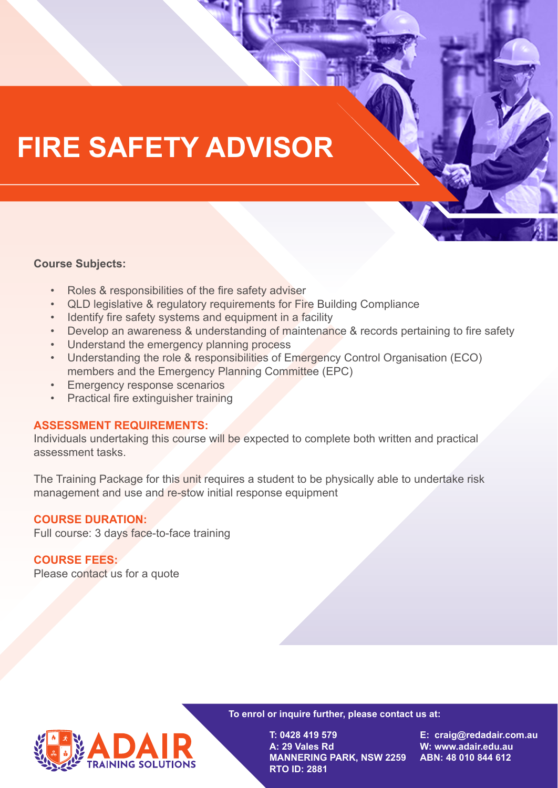# **FIRE SAFETY ADVISOR**

### **Course Subjects:**

- Roles & responsibilities of the fire safety adviser
- QLD legislative & regulatory requirements for Fire Building Compliance
- Identify fire safety systems and equipment in a facility
- Develop an awareness & understanding of maintenance & records pertaining to fire safety
- Understand the emergency planning process
- Understanding the role & responsibilities of Emergency Control Organisation (ECO) members and the Emergency Planning Committee (EPC)
- **Emergency response scenarios**
- Practical fire extinguisher training

#### **ASSESSMENT REQUIREMENTS:**

Individuals undertaking this course will be expected to complete both written and practical assessment tasks.

The Training Package for this unit requires a student to be physically able to undertake risk management and use and re-stow initial response equipment

### **COURSE DURATION:**

Full course: 3 days face-to-face training

### **COURSE FEES:**

Please contact us for a quote



**To enrol or inquire further, please contact us at:** 

**T: 0428 419 579 A: 29 Vales Rd MANNERING PARK, NSW 2259 RTO ID: 2881**

**E: craig@redadair.com.au W: www.adair.edu.au ABN: 48 010 844 612**